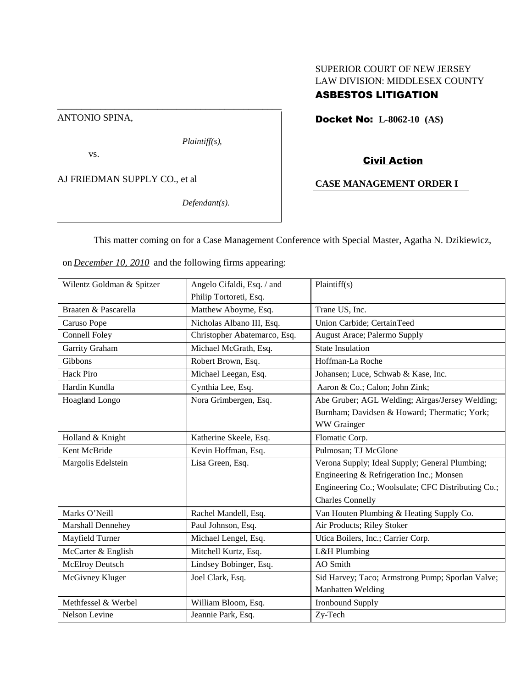## SUPERIOR COURT OF NEW JERSEY LAW DIVISION: MIDDLESEX COUNTY

# ASBESTOS LITIGATION

Docket No: **L-8062-10 (AS)**

ANTONIO SPINA,

*Plaintiff(s),*

vs.

AJ FRIEDMAN SUPPLY CO., et al

*Defendant(s).*

Civil Action

## **CASE MANAGEMENT ORDER I**

This matter coming on for a Case Management Conference with Special Master, Agatha N. Dzikiewicz,

on *December 10, 2010* and the following firms appearing:

\_\_\_\_\_\_\_\_\_\_\_\_\_\_\_\_\_\_\_\_\_\_\_\_\_\_\_\_\_\_\_\_\_\_\_\_\_\_\_\_\_\_\_\_\_\_\_

| Wilentz Goldman & Spitzer | Angelo Cifaldi, Esq. / and   | Plaintiff(s)                                       |
|---------------------------|------------------------------|----------------------------------------------------|
|                           | Philip Tortoreti, Esq.       |                                                    |
| Braaten & Pascarella      | Matthew Aboyme, Esq.         | Trane US, Inc.                                     |
| Caruso Pope               | Nicholas Albano III, Esq.    | Union Carbide; CertainTeed                         |
| Connell Foley             | Christopher Abatemarco, Esq. | August Arace; Palermo Supply                       |
| Garrity Graham            | Michael McGrath, Esq.        | <b>State Insulation</b>                            |
| Gibbons                   | Robert Brown, Esq.           | Hoffman-La Roche                                   |
| Hack Piro                 | Michael Leegan, Esq.         | Johansen; Luce, Schwab & Kase, Inc.                |
| Hardin Kundla             | Cynthia Lee, Esq.            | Aaron & Co.; Calon; John Zink;                     |
| <b>Hoagland Longo</b>     | Nora Grimbergen, Esq.        | Abe Gruber; AGL Welding; Airgas/Jersey Welding;    |
|                           |                              | Burnham; Davidsen & Howard; Thermatic; York;       |
|                           |                              | WW Grainger                                        |
| Holland & Knight          | Katherine Skeele, Esq.       | Flomatic Corp.                                     |
| Kent McBride              | Kevin Hoffman, Esq.          | Pulmosan; TJ McGlone                               |
| Margolis Edelstein        | Lisa Green, Esq.             | Verona Supply; Ideal Supply; General Plumbing;     |
|                           |                              | Engineering & Refrigeration Inc.; Monsen           |
|                           |                              | Engineering Co.; Woolsulate; CFC Distributing Co.; |
|                           |                              | <b>Charles Connelly</b>                            |
| Marks O'Neill             | Rachel Mandell, Esq.         | Van Houten Plumbing & Heating Supply Co.           |
| <b>Marshall Dennehey</b>  | Paul Johnson, Esq.           | Air Products; Riley Stoker                         |
| Mayfield Turner           | Michael Lengel, Esq.         | Utica Boilers, Inc.; Carrier Corp.                 |
| McCarter & English        | Mitchell Kurtz, Esq.         | L&H Plumbing                                       |
| McElroy Deutsch           | Lindsey Bobinger, Esq.       | AO Smith                                           |
| McGivney Kluger           | Joel Clark, Esq.             | Sid Harvey; Taco; Armstrong Pump; Sporlan Valve;   |
|                           |                              | Manhatten Welding                                  |
| Methfessel & Werbel       | William Bloom, Esq.          | <b>Ironbound Supply</b>                            |
| Nelson Levine             | Jeannie Park, Esq.           | Zy-Tech                                            |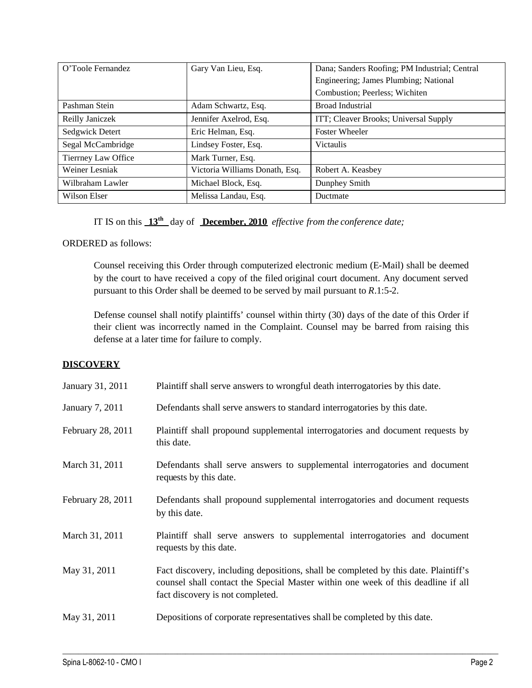| O'Toole Fernandez   | Gary Van Lieu, Esq.            | Dana; Sanders Roofing; PM Industrial; Central |
|---------------------|--------------------------------|-----------------------------------------------|
|                     |                                | Engineering; James Plumbing; National         |
|                     |                                | Combustion; Peerless; Wichiten                |
| Pashman Stein       | Adam Schwartz, Esq.            | <b>Broad Industrial</b>                       |
| Reilly Janiczek     | Jennifer Axelrod, Esq.         | ITT; Cleaver Brooks; Universal Supply         |
| Sedgwick Detert     | Eric Helman, Esq.              | <b>Foster Wheeler</b>                         |
| Segal McCambridge   | Lindsey Foster, Esq.           | <b>Victaulis</b>                              |
| Tierrney Law Office | Mark Turner, Esq.              |                                               |
| Weiner Lesniak      | Victoria Williams Donath, Esq. | Robert A. Keasbey                             |
| Wilbraham Lawler    | Michael Block, Esq.            | Dunphey Smith                                 |
| Wilson Elser        | Melissa Landau, Esq.           | Ductmate                                      |

IT IS on this **13th** day of **December, 2010** *effective from the conference date;*

### ORDERED as follows:

Counsel receiving this Order through computerized electronic medium (E-Mail) shall be deemed by the court to have received a copy of the filed original court document. Any document served pursuant to this Order shall be deemed to be served by mail pursuant to *R*.1:5-2.

Defense counsel shall notify plaintiffs' counsel within thirty (30) days of the date of this Order if their client was incorrectly named in the Complaint. Counsel may be barred from raising this defense at a later time for failure to comply.

### **DISCOVERY**

| January 31, 2011  | Plaintiff shall serve answers to wrongful death interrogatories by this date.                                                                                                                               |
|-------------------|-------------------------------------------------------------------------------------------------------------------------------------------------------------------------------------------------------------|
| January 7, 2011   | Defendants shall serve answers to standard interrogatories by this date.                                                                                                                                    |
| February 28, 2011 | Plaintiff shall propound supplemental interrogatories and document requests by<br>this date.                                                                                                                |
| March 31, 2011    | Defendants shall serve answers to supplemental interrogatories and document<br>requests by this date.                                                                                                       |
| February 28, 2011 | Defendants shall propound supplemental interrogatories and document requests<br>by this date.                                                                                                               |
| March 31, 2011    | Plaintiff shall serve answers to supplemental interrogatories and document<br>requests by this date.                                                                                                        |
| May 31, 2011      | Fact discovery, including depositions, shall be completed by this date. Plaintiff's<br>counsel shall contact the Special Master within one week of this deadline if all<br>fact discovery is not completed. |
| May 31, 2011      | Depositions of corporate representatives shall be completed by this date.                                                                                                                                   |

 $\_$  ,  $\_$  ,  $\_$  ,  $\_$  ,  $\_$  ,  $\_$  ,  $\_$  ,  $\_$  ,  $\_$  ,  $\_$  ,  $\_$  ,  $\_$  ,  $\_$  ,  $\_$  ,  $\_$  ,  $\_$  ,  $\_$  ,  $\_$  ,  $\_$  ,  $\_$  ,  $\_$  ,  $\_$  ,  $\_$  ,  $\_$  ,  $\_$  ,  $\_$  ,  $\_$  ,  $\_$  ,  $\_$  ,  $\_$  ,  $\_$  ,  $\_$  ,  $\_$  ,  $\_$  ,  $\_$  ,  $\_$  ,  $\_$  ,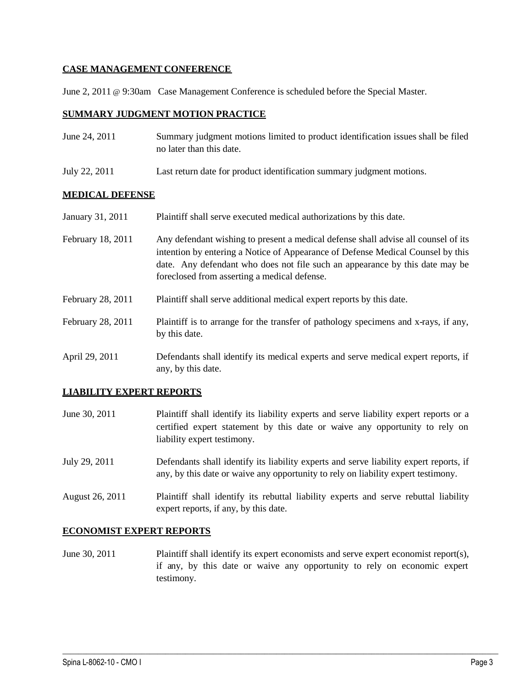### **CASE MANAGEMENT CONFERENCE**

June 2, 2011 @ 9:30am Case Management Conference is scheduled before the Special Master.

#### **SUMMARY JUDGMENT MOTION PRACTICE**

- June 24, 2011 Summary judgment motions limited to product identification issues shall be filed no later than this date.
- July 22, 2011 Last return date for product identification summary judgment motions.

#### **MEDICAL DEFENSE**

- January 31, 2011 Plaintiff shall serve executed medical authorizations by this date.
- February 18, 2011 Any defendant wishing to present a medical defense shall advise all counsel of its intention by entering a Notice of Appearance of Defense Medical Counsel by this date. Any defendant who does not file such an appearance by this date may be foreclosed from asserting a medical defense.
- February 28, 2011 Plaintiff shall serve additional medical expert reports by this date.
- February 28, 2011 Plaintiff is to arrange for the transfer of pathology specimens and x-rays, if any, by this date.
- April 29, 2011 Defendants shall identify its medical experts and serve medical expert reports, if any, by this date.

#### **LIABILITY EXPERT REPORTS**

- June 30, 2011 Plaintiff shall identify its liability experts and serve liability expert reports or a certified expert statement by this date or waive any opportunity to rely on liability expert testimony.
- July 29, 2011 Defendants shall identify its liability experts and serve liability expert reports, if any, by this date or waive any opportunity to rely on liability expert testimony.
- August 26, 2011 Plaintiff shall identify its rebuttal liability experts and serve rebuttal liability expert reports, if any, by this date.

#### **ECONOMIST EXPERT REPORTS**

June 30, 2011 Plaintiff shall identify its expert economists and serve expert economist report(s), if any, by this date or waive any opportunity to rely on economic expert testimony.

 $\_$  ,  $\_$  ,  $\_$  ,  $\_$  ,  $\_$  ,  $\_$  ,  $\_$  ,  $\_$  ,  $\_$  ,  $\_$  ,  $\_$  ,  $\_$  ,  $\_$  ,  $\_$  ,  $\_$  ,  $\_$  ,  $\_$  ,  $\_$  ,  $\_$  ,  $\_$  ,  $\_$  ,  $\_$  ,  $\_$  ,  $\_$  ,  $\_$  ,  $\_$  ,  $\_$  ,  $\_$  ,  $\_$  ,  $\_$  ,  $\_$  ,  $\_$  ,  $\_$  ,  $\_$  ,  $\_$  ,  $\_$  ,  $\_$  ,